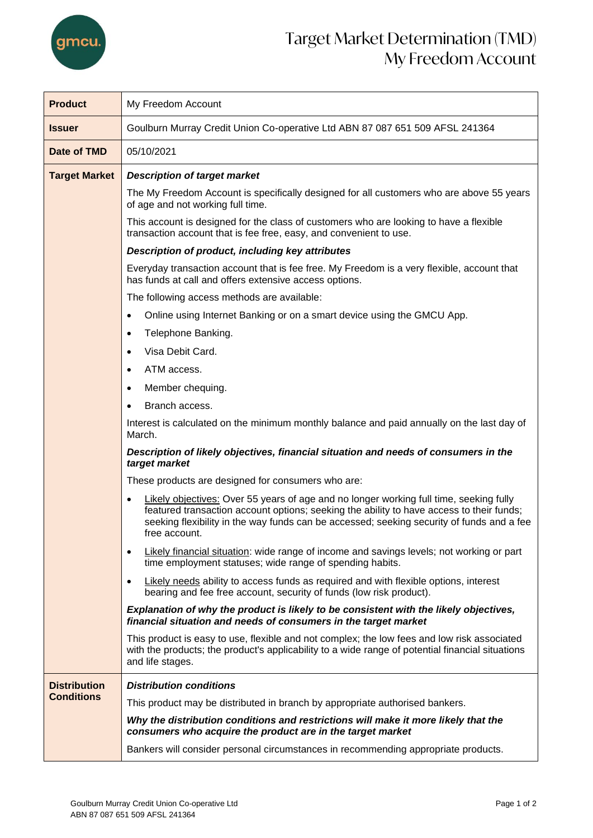

| <b>Product</b>                           | My Freedom Account                                                                                                                                                                                                                                                                                                                                                                                                                                                                                                                                                                                                                                                                                                                                                                                                                                                                                                                                                                                                                                                                                                                                                                                                                                                                                                              |  |  |
|------------------------------------------|---------------------------------------------------------------------------------------------------------------------------------------------------------------------------------------------------------------------------------------------------------------------------------------------------------------------------------------------------------------------------------------------------------------------------------------------------------------------------------------------------------------------------------------------------------------------------------------------------------------------------------------------------------------------------------------------------------------------------------------------------------------------------------------------------------------------------------------------------------------------------------------------------------------------------------------------------------------------------------------------------------------------------------------------------------------------------------------------------------------------------------------------------------------------------------------------------------------------------------------------------------------------------------------------------------------------------------|--|--|
| <b>Issuer</b>                            | Goulburn Murray Credit Union Co-operative Ltd ABN 87 087 651 509 AFSL 241364                                                                                                                                                                                                                                                                                                                                                                                                                                                                                                                                                                                                                                                                                                                                                                                                                                                                                                                                                                                                                                                                                                                                                                                                                                                    |  |  |
| Date of TMD                              | 05/10/2021                                                                                                                                                                                                                                                                                                                                                                                                                                                                                                                                                                                                                                                                                                                                                                                                                                                                                                                                                                                                                                                                                                                                                                                                                                                                                                                      |  |  |
| <b>Target Market</b>                     | <b>Description of target market</b><br>The My Freedom Account is specifically designed for all customers who are above 55 years<br>of age and not working full time.<br>This account is designed for the class of customers who are looking to have a flexible<br>transaction account that is fee free, easy, and convenient to use.<br>Description of product, including key attributes<br>Everyday transaction account that is fee free. My Freedom is a very flexible, account that<br>has funds at call and offers extensive access options.<br>The following access methods are available:<br>Online using Internet Banking or on a smart device using the GMCU App.<br>$\bullet$<br>Telephone Banking.<br>$\bullet$<br>Visa Debit Card.<br>$\bullet$<br>ATM access.<br>$\bullet$<br>Member chequing.<br>$\bullet$<br>Branch access.<br>$\bullet$<br>Interest is calculated on the minimum monthly balance and paid annually on the last day of<br>March.<br>Description of likely objectives, financial situation and needs of consumers in the<br>target market<br>These products are designed for consumers who are:<br>Likely objectives: Over 55 years of age and no longer working full time, seeking fully<br>$\bullet$<br>featured transaction account options; seeking the ability to have access to their funds; |  |  |
|                                          | seeking flexibility in the way funds can be accessed; seeking security of funds and a fee<br>free account.<br>Likely financial situation: wide range of income and savings levels; not working or part<br>$\bullet$<br>time employment statuses; wide range of spending habits.<br>Likely needs ability to access funds as required and with flexible options, interest<br>bearing and fee free account, security of funds (low risk product).<br>Explanation of why the product is likely to be consistent with the likely objectives,<br>financial situation and needs of consumers in the target market                                                                                                                                                                                                                                                                                                                                                                                                                                                                                                                                                                                                                                                                                                                      |  |  |
|                                          | This product is easy to use, flexible and not complex; the low fees and low risk associated<br>with the products; the product's applicability to a wide range of potential financial situations<br>and life stages.                                                                                                                                                                                                                                                                                                                                                                                                                                                                                                                                                                                                                                                                                                                                                                                                                                                                                                                                                                                                                                                                                                             |  |  |
| <b>Distribution</b><br><b>Conditions</b> | <b>Distribution conditions</b><br>This product may be distributed in branch by appropriate authorised bankers.<br>Why the distribution conditions and restrictions will make it more likely that the<br>consumers who acquire the product are in the target market<br>Bankers will consider personal circumstances in recommending appropriate products.                                                                                                                                                                                                                                                                                                                                                                                                                                                                                                                                                                                                                                                                                                                                                                                                                                                                                                                                                                        |  |  |